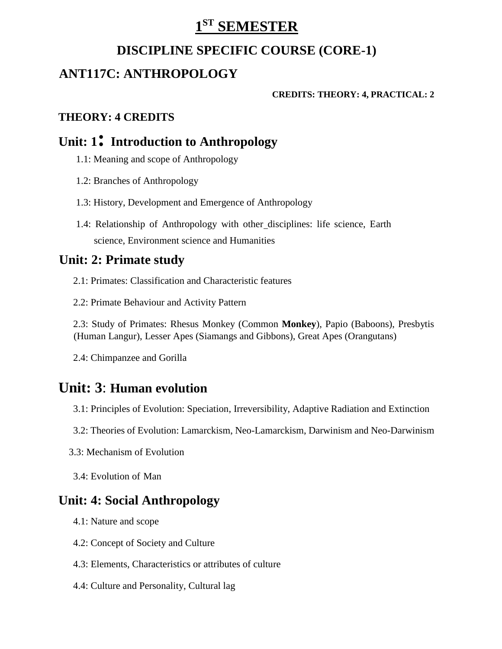# **1 ST SEMESTER**

### **DISCIPLINE SPECIFIC COURSE (CORE-1)**

# **ANT117C: ANTHROPOLOGY**

#### **CREDITS: THEORY: 4, PRACTICAL: 2**

#### **THEORY: 4 CREDITS**

### **Unit: 1: Introduction to Anthropology**

- 1.1: Meaning and scope of Anthropology
- 1.2: Branches of Anthropology
- 1.3: History, Development and Emergence of Anthropology
- 1.4: Relationship of Anthropology with other disciplines: life science, Earth science, Environment science and Humanities

# **Unit: 2: Primate study**

- 2.1: Primates: Classification and Characteristic features
- 2.2: Primate Behaviour and Activity Pattern

2.3: Study of Primates: Rhesus Monkey (Common **Monkey**), Papio (Baboons), Presbytis (Human Langur), Lesser Apes (Siamangs and Gibbons), Great Apes (Orangutans)

2.4: Chimpanzee and Gorilla

# **Unit: 3**: **Human evolution**

- 3.1: Principles of Evolution: Speciation, Irreversibility, Adaptive Radiation and Extinction
- 3.2: Theories of Evolution: Lamarckism, Neo-Lamarckism, Darwinism and Neo-Darwinism
- 3.3: Mechanism of Evolution
- 3.4: Evolution of Man

## **Unit: 4: Social Anthropology**

- 4.1: Nature and scope
- 4.2: Concept of Society and Culture
- 4.3: Elements, Characteristics or attributes of culture
- 4.4: Culture and Personality, Cultural lag